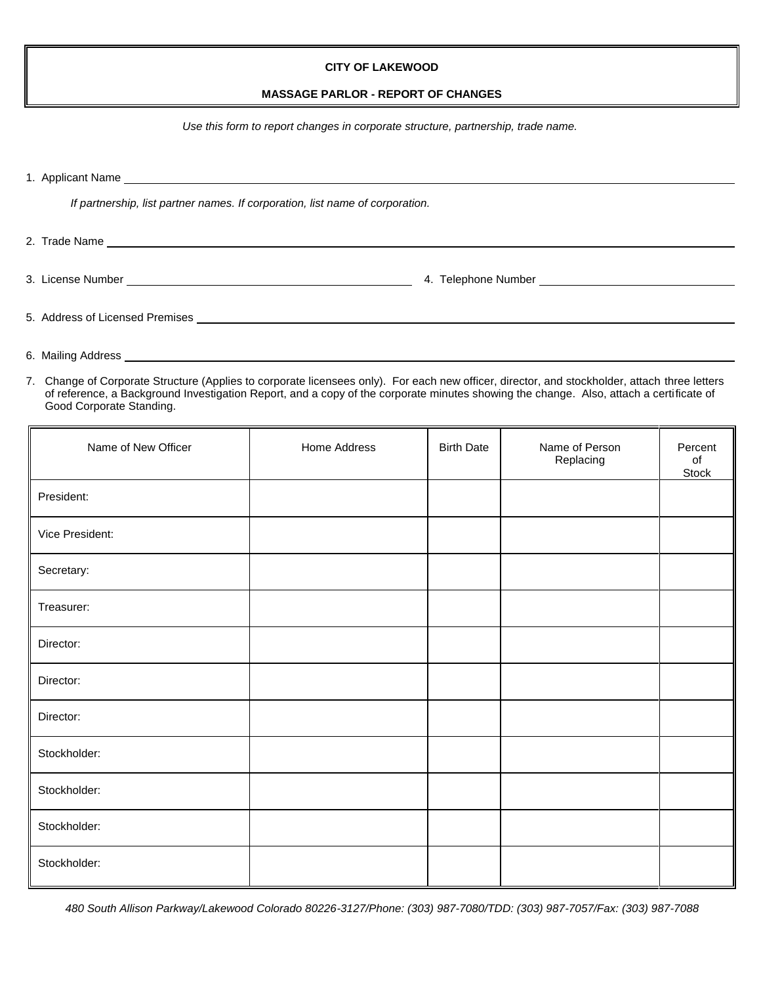## **CITY OF LAKEWOOD**

## **MASSAGE PARLOR - REPORT OF CHANGES**

*Use this form to report changes in corporate structure, partnership, trade name.*

1. Applicant Name

*If partnership, list partner names. If corporation, list name of corporation.*

2. Trade Name 3. License Number 4. Telephone Number

5. Address of Licensed Premises

- 6. Mailing Address
- 7. Change of Corporate Structure (Applies to corporate licensees only). For each new officer, director, and stockholder, attach three letters of reference, a Background Investigation Report, and a copy of the corporate minutes showing the change. Also, attach a certificate of Good Corporate Standing.

| Name of New Officer | Home Address | <b>Birth Date</b> | Name of Person<br>Replacing | Percent<br>of<br>Stock |
|---------------------|--------------|-------------------|-----------------------------|------------------------|
| President:          |              |                   |                             |                        |
| Vice President:     |              |                   |                             |                        |
| Secretary:          |              |                   |                             |                        |
| Treasurer:          |              |                   |                             |                        |
| Director:           |              |                   |                             |                        |
| Director:           |              |                   |                             |                        |
| Director:           |              |                   |                             |                        |
| Stockholder:        |              |                   |                             |                        |
| Stockholder:        |              |                   |                             |                        |
| Stockholder:        |              |                   |                             |                        |
| Stockholder:        |              |                   |                             |                        |

*480 South Allison Parkway/Lakewood Colorado 80226-3127/Phone: (303) 987-7080/TDD: (303) 987-7057/Fax: (303) 987-7088*